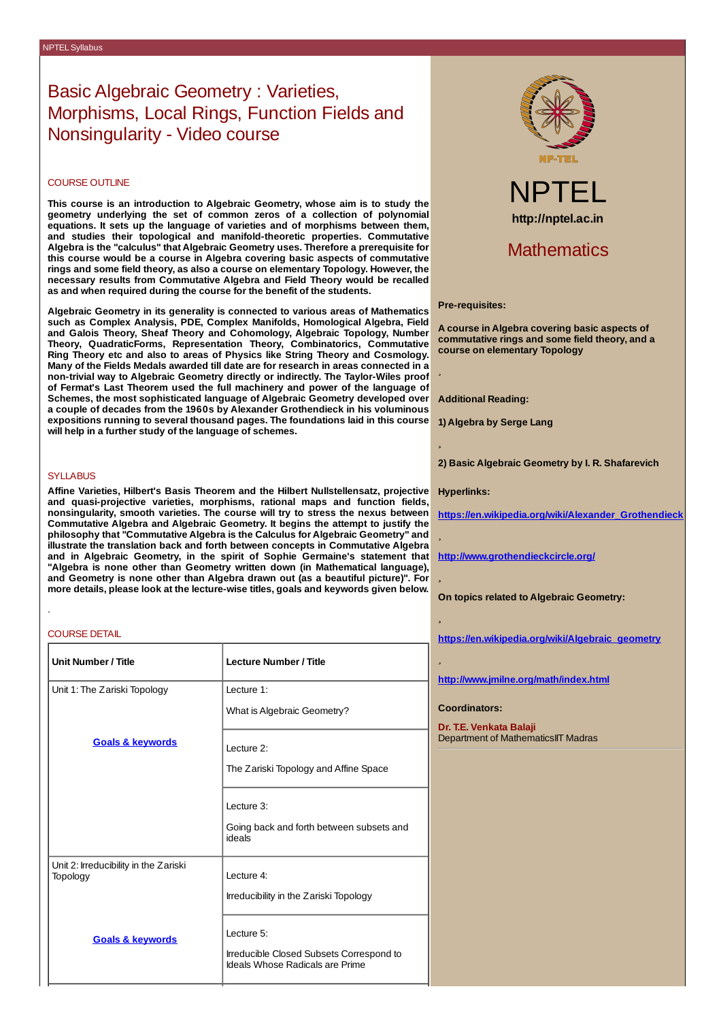## Basic Algebraic Geometry : Varieties, Morphisms, Local Rings, Function Fields and Nonsingularity - Video course

### COURSE OUTLINE

**This course is an introduction to Algebraic Geometry, whose aim is to study the geometry underlying the set of common zeros of a collection of polynomial equations. It sets up the language of varieties and of morphisms between them, and studies their topological and manifold-theoretic properties. Commutative Algebra is the "calculus" that Algebraic Geometry uses. Therefore a prerequisite for this course would be a course in Algebra covering basic aspects of commutative rings and some field theory, as also a course on elementary Topology. However, the necessary results from Commutative Algebra and Field Theory would be recalled as and when required during the course for the benefit of the students.**

**Algebraic Geometry in its generality is connected to various areas of Mathematics such as Complex Analysis, PDE, Complex Manifolds, Homological Algebra, Field and Galois Theory, Sheaf Theory and Cohomology, Algebraic Topology, Number Theory, QuadraticForms, Representation Theory, Combinatorics, Commutative Ring Theory etc and also to areas of Physics like String Theory and Cosmology. Many of the Fields Medals awarded till date are for research in areas connected in a non-trivial way to Algebraic Geometry directly or indirectly. The Taylor-Wiles proof of Fermat's Last Theorem used the full machinery and power of the language of Schemes, the most sophisticated language of Algebraic Geometry developed over a couple of decades from the 1960s by Alexander Grothendieck in his voluminous expositions running to several thousand pages. The foundations laid in this course will help in a further study of the language of schemes.**

### **SYLLABUS**

**Affine Varieties, Hilbert's Basis Theorem and the Hilbert Nullstellensatz, projective and quasi-projective varieties, morphisms, rational maps and function fields, nonsingularity, smooth varieties. The course will try to stress the nexus between Commutative Algebra and Algebraic Geometry. It begins the attempt to justify the philosophy that "Commutative Algebra is the Calculus for Algebraic Geometry" and illustrate the translation back and forth between concepts in Commutative Algebra and in Algebraic Geometry, in the spirit of Sophie Germaine's statement that "Algebra is none other than Geometry written down (in Mathematical language), and Geometry is none other than Algebra drawn out (as a beautiful picture)". For more details, please look at the lecture-wise titles, goals and keywords given below.**

### COURSE DETAIL

.

| <b>Unit Number / Title</b>                        | <b>Lecture Number / Title</b>                                               |
|---------------------------------------------------|-----------------------------------------------------------------------------|
| Unit 1: The Zariski Topology                      | Lecture 1:                                                                  |
|                                                   | What is Algebraic Geometry?                                                 |
| <b>Goals &amp; keywords</b>                       | Lecture 2:                                                                  |
|                                                   | The Zariski Topology and Affine Space                                       |
|                                                   | Lecture 3:                                                                  |
|                                                   | Going back and forth between subsets and<br>ideals                          |
| Unit 2: Irreducibility in the Zariski<br>Topology | Lecture 4:                                                                  |
|                                                   | Irreducibility in the Zariski Topology                                      |
| <b>Goals &amp; keywords</b>                       | Lecture 5:                                                                  |
|                                                   | Irreducible Closed Subsets Correspond to<br>Ideals Whose Radicals are Prime |



# NPTEL **http://nptel.ac.in**

### Mathematics

### **Pre-requisites:**

**A course in Algebra covering basic aspects of commutative rings and some field theory, and a course on elementary Topology**

l.

**�**

�

**�**

**�**

�

**Additional Reading:**

**1) Algebra by Serge Lang**

**2) Basic Algebraic Geometry by I. R. Shafarevich**

**Hyperlinks:**

**[https://en.wikipedia.org/wiki/Alexander\\_Grothendieck](https://en.wikipedia.org/wiki/Alexander_Grothendieck)**

**<http://www.grothendieckcircle.org/>**

**On topics related to Algebraic Geometry:**

**[https://en.wikipedia.org/wiki/Algebraic\\_geometry](https://en.wikipedia.org/wiki/Algebraic_geometry)**

**<http://www.jmilne.org/math/index.html>**

#### **Coordinators:**

**Dr. T.E. Venkata Balaji** Department of MathematicsIIT Madras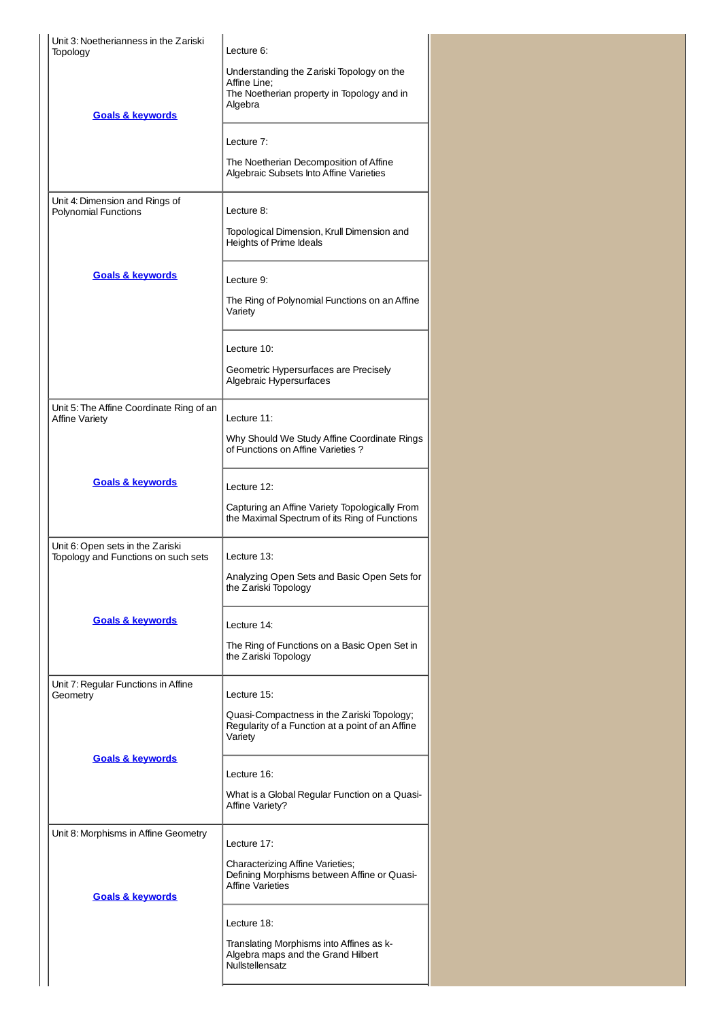| Unit 3: Noetherianness in the Zariski<br>Topology                       | Lecture 6:                                                                                                         |  |
|-------------------------------------------------------------------------|--------------------------------------------------------------------------------------------------------------------|--|
| <b>Goals &amp; keywords</b>                                             | Understanding the Zariski Topology on the<br>Affine Line;<br>The Noetherian property in Topology and in<br>Algebra |  |
|                                                                         | Lecture 7:                                                                                                         |  |
|                                                                         | The Noetherian Decomposition of Affine<br>Algebraic Subsets Into Affine Varieties                                  |  |
| Unit 4: Dimension and Rings of<br><b>Polynomial Functions</b>           | Lecture 8:                                                                                                         |  |
|                                                                         | Topological Dimension, Krull Dimension and<br>Heights of Prime Ideals                                              |  |
| <b>Goals &amp; keywords</b>                                             | Lecture 9:                                                                                                         |  |
|                                                                         | The Ring of Polynomial Functions on an Affine<br>Variety                                                           |  |
|                                                                         | Lecture 10:                                                                                                        |  |
|                                                                         | Geometric Hypersurfaces are Precisely<br>Algebraic Hypersurfaces                                                   |  |
| Unit 5: The Affine Coordinate Ring of an<br><b>Affine Variety</b>       | Lecture 11:                                                                                                        |  |
|                                                                         | Why Should We Study Affine Coordinate Rings<br>of Functions on Affine Varieties?                                   |  |
| <b>Goals &amp; keywords</b>                                             | Lecture 12:                                                                                                        |  |
|                                                                         | Capturing an Affine Variety Topologically From<br>the Maximal Spectrum of its Ring of Functions                    |  |
| Unit 6: Open sets in the Zariski<br>Topology and Functions on such sets | Lecture 13:                                                                                                        |  |
|                                                                         | Analyzing Open Sets and Basic Open Sets for<br>the Zariski Topology                                                |  |
| <b>Goals &amp; keywords</b>                                             | Lecture 14:                                                                                                        |  |
|                                                                         | The Ring of Functions on a Basic Open Set in<br>the Zariski Topology                                               |  |
| Unit 7: Regular Functions in Affine<br>Geometry                         | Lecture 15:                                                                                                        |  |
|                                                                         | Quasi-Compactness in the Zariski Topology;<br>Regularity of a Function at a point of an Affine<br>Variety          |  |
| <b>Goals &amp; keywords</b>                                             | Lecture 16:                                                                                                        |  |
|                                                                         | What is a Global Regular Function on a Quasi-<br>Affine Variety?                                                   |  |
| Unit 8: Morphisms in Affine Geometry                                    | Lecture 17:                                                                                                        |  |
| <b>Goals &amp; keywords</b>                                             | <b>Characterizing Affine Varieties;</b><br>Defining Morphisms between Affine or Quasi-<br><b>Affine Varieties</b>  |  |
|                                                                         | Lecture 18:                                                                                                        |  |
|                                                                         | Translating Morphisms into Affines as k-<br>Algebra maps and the Grand Hilbert<br>Nullstellensatz                  |  |
|                                                                         |                                                                                                                    |  |